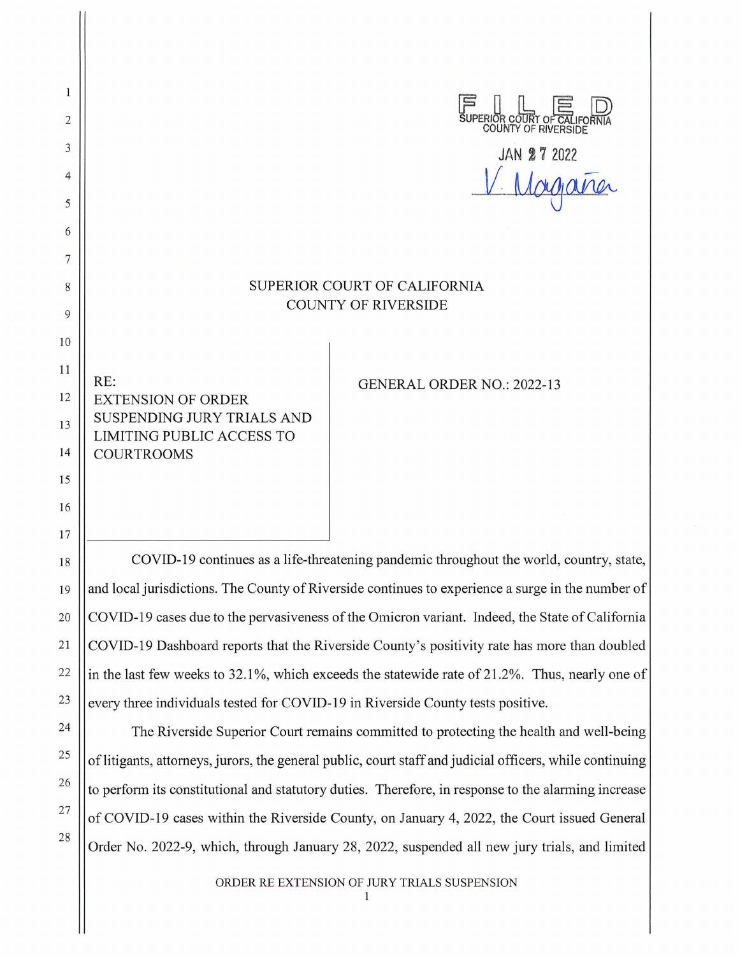$\mathbf{1}$ **FURNAL COUNTY OF CALIFORNIA**<br>
COUNTY OF RIVERSIDE 2 3 **JAN 2 7 2022**  V Morgania 4 5 6 7 8 SUPERIOR COURT OF CALIFORNIA COUNTY OF RIVERSIDE 9 10 **11**  RE: GENERAL ORDER NO.: 2022-13 12 EXTENSION OF ORDER SUSPENDING JURY TRIALS AND 13 LIMITING PUBLIC ACCESS TO 14 COURTROOMS 15 16 17 COVID-19 continues as a life-threatening pandemic throughout the world, country, state, 18 19

and local jurisdictions. The County of Riverside continues to experience a surge in the number of COVID-19 cases due to the pervasiveness of the Omicron variant. Indeed, the State of California COVID-19 Dashboard reports that the Riverside County's positivity rate has more than doubled in the last few weeks to 32.1%, which exceeds the statewide rate of 21.2%. Thus, nearly one of every three individuals tested for COVID-19 in Riverside County tests positive.

20

21

22

23

24

25

26

27

28

The Riverside Superior Court remains committed to protecting the health and well-being of litigants, attorneys, jurors, the general public, court staff and judicial officers, while continuing to perform its constitutional and statutory duties. Therefore, in response to the alarming increase of COVID-19 cases within the Riverside County, on January 4, 2022, the Court issued General Order No. 2022-9, which, through January 28, 2022, suspended all new jury trials, and limited

ORDER RE EXTENSION OF JURY TRIALS SUSPENSION

 $\mathbf{1}$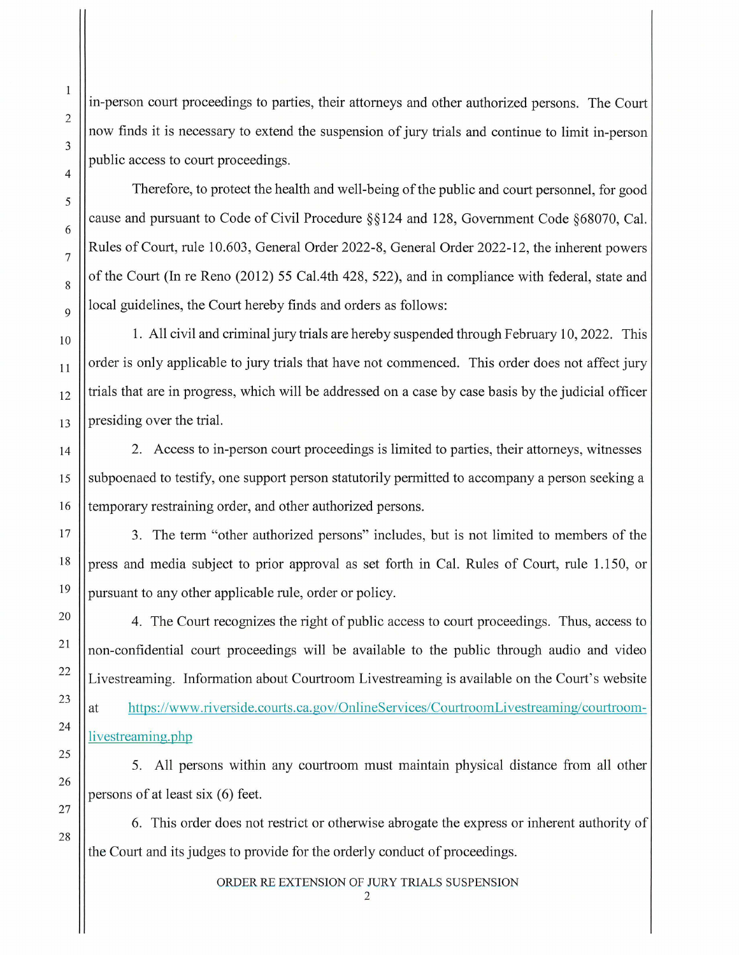in-person court proceedings to parties, their attorneys and other authorized persons. The Court now finds it is necessary to extend the suspension of jury trials and continue to limit in-person public access to court proceedings.

Therefore, to protect the health and well-being of the public and court personnel, for good cause and pursuant to Code of Civil Procedure § § 124 and 128, Government Code §68070, Cal. Rules of Court, rule 10.603, General Order 2022-8, General Order 2022-12, the inherent powers of the Court (In re Reno (2012) 55 Cal.4th 428, 522), and in compliance with federal, state and local guidelines, the Court hereby finds and orders as follows:

1. All civil and criminal jury trials are hereby suspended through February 10, 2022. This order is only applicable to jury trials that have not commenced. This order does not affect jury trials that are in progress, which will be addressed on a case by case basis by the judicial officer presiding over the trial.

2. Access to in-person court proceedings is limited to parties, their attorneys, witnesses subpoenaed to testify, one support person statutorily permitted to accompany a person seeking a temporary restraining order, and other authorized persons.

3. The term "other authorized persons" includes, but is not limited to members of the press and media subject to prior approval as set forth in Cal. Rules of Court, rule 1.150, or pursuant to any other applicable rule, order or policy.

4. The Court recognizes the right of public access to court proceedings. Thus, access to non-confidential court proceedings will be available to the public through audio and video Livestreaming. Information about Courtroom Livestreaming is available on the Court's website at https://www.riverside.courts.ca.gov/OnlineServices/CourtroomLivestreaming/courtroomlivestreaming.php

5. All persons within any courtroom must maintain physical distance from all other persons of at least six (6) feet.

6. This order does not restrict or otherwise abrogate the express or inherent authority of the Court and its judges to provide for the orderly conduct of proceedings.

ORDER RE EXTENSION OF JURY TRIALS SUSPENSION

2